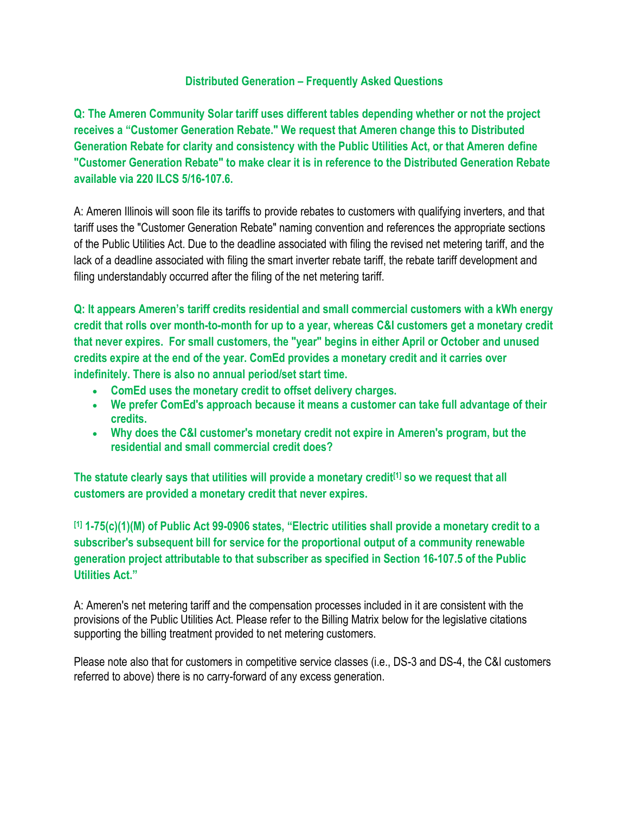### **Distributed Generation – Frequently Asked Questions**

**Q: The Ameren Community Solar tariff uses different tables depending whether or not the project receives a "Customer Generation Rebate." We request that Ameren change this to Distributed Generation Rebate for clarity and consistency with the Public Utilities Act, or that Ameren define "Customer Generation Rebate" to make clear it is in reference to the Distributed Generation Rebate available via 220 ILCS 5/16-107.6.**

A: Ameren Illinois will soon file its tariffs to provide rebates to customers with qualifying inverters, and that tariff uses the "Customer Generation Rebate" naming convention and references the appropriate sections of the Public Utilities Act. Due to the deadline associated with filing the revised net metering tariff, and the lack of a deadline associated with filing the smart inverter rebate tariff, the rebate tariff development and filing understandably occurred after the filing of the net metering tariff.

**Q: It appears Ameren's tariff credits residential and small commercial customers with a kWh energy credit that rolls over month-to-month for up to a year, whereas C&I customers get a monetary credit that never expires. For small customers, the "year" begins in either April or October and unused credits expire at the end of the year. ComEd provides a monetary credit and it carries over indefinitely. There is also no annual period/set start time.**

- **ComEd uses the monetary credit to offset delivery charges.**
- **We prefer ComEd's approach because it means a customer can take full advantage of their credits.**
- **Why does the C&I customer's monetary credit not expire in Ameren's program, but the residential and small commercial credit does?**

**The statute clearly says that utilities will provide a monetary credit[1] so we request that all customers are provided a monetary credit that never expires.**

**[1] 1-75(c)(1)(M) of Public Act 99-0906 states, "Electric utilities shall provide a monetary credit to a subscriber's subsequent bill for service for the proportional output of a community renewable generation project attributable to that subscriber as specified in Section 16-107.5 of the Public Utilities Act."**

A: Ameren's net metering tariff and the compensation processes included in it are consistent with the provisions of the Public Utilities Act. Please refer to the Billing Matrix below for the legislative citations supporting the billing treatment provided to net metering customers.

Please note also that for customers in competitive service classes (i.e., DS-3 and DS-4, the C&I customers referred to above) there is no carry-forward of any excess generation.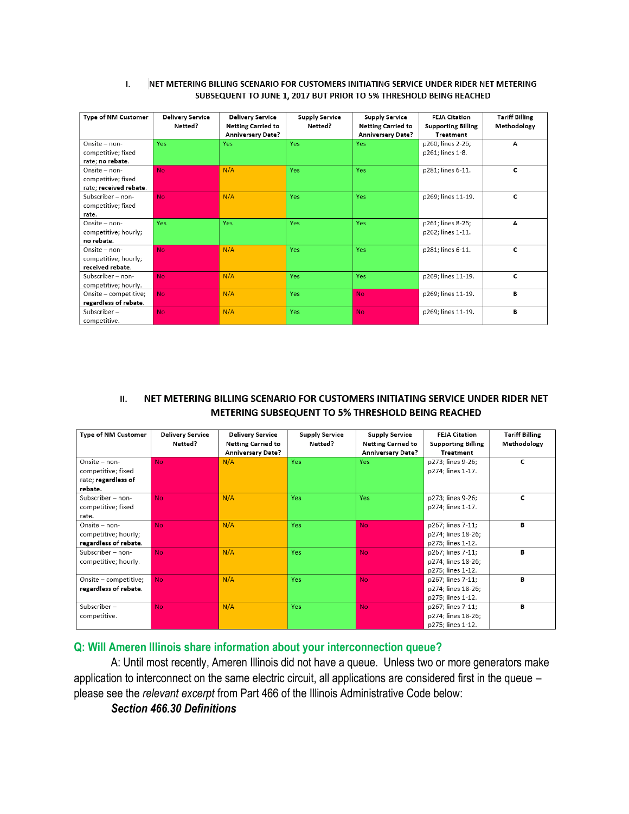#### NET METERING BILLING SCENARIO FOR CUSTOMERS INITIATING SERVICE UNDER RIDER NET METERING ı. SUBSEQUENT TO JUNE 1, 2017 BUT PRIOR TO 5% THRESHOLD BEING REACHED

| Type of NM Customer    | <b>Delivery Service</b> | <b>Delivery Service</b>   | <b>Supply Service</b> | <b>Supply Service</b>     | <b>FEJA Citation</b>      | <b>Tariff Billing</b> |
|------------------------|-------------------------|---------------------------|-----------------------|---------------------------|---------------------------|-----------------------|
|                        | Netted?                 | <b>Netting Carried to</b> | Netted?               | <b>Netting Carried to</b> | <b>Supporting Billing</b> | Methodology           |
|                        |                         | <b>Anniversary Date?</b>  |                       | <b>Anniversary Date?</b>  | <b>Treatment</b>          |                       |
| Onsite - non-          | Yes                     | Yes                       | <b>Yes</b>            | Yes:                      | p260, lines 2-26;         | А                     |
| competitive; fixed     |                         |                           |                       |                           | p261; lines 1-8.          |                       |
| rate; no rebate.       |                         |                           |                       |                           |                           |                       |
| Onsite - non-          | <b>No</b>               | N/A                       | <b>Yes</b>            | <b>Yes</b>                | p281, lines 6-11.         | c                     |
| competitive; fixed     |                         |                           |                       |                           |                           |                       |
| rate; received rebate. |                         |                           |                       |                           |                           |                       |
| Subscriber - non-      | No.                     | N/A                       | <b>Yes</b>            | <b>Yes</b>                | p269; lines 11-19.        | c                     |
| competitive; fixed     |                         |                           |                       |                           |                           |                       |
| rate.                  |                         |                           |                       |                           |                           |                       |
| Onsite - non-          | Yes                     | <b>Yes</b>                | <b>Yes</b>            | Yes:                      | p261; lines 8-26;         | А                     |
| competitive; hourly;   |                         |                           |                       |                           | p262; lines 1-11.         |                       |
| no rebate.             |                         |                           |                       |                           |                           |                       |
| Onsite - non-          | <b>No</b>               | N/A                       | Yes                   | <b>Yes</b>                | p281; lines 6-11.         | С                     |
| competitive; hourly;   |                         |                           |                       |                           |                           |                       |
| received rebate.       |                         |                           |                       |                           |                           |                       |
| Subscriber - non-      | <b>No</b>               | N/A                       | Yes                   | <b>Yes</b>                | p269; lines 11-19.        | C                     |
| competitive; hourly.   |                         |                           |                       |                           |                           |                       |
| Onsite – competitive;  | <b>No</b>               | N/A                       | Yes                   | <b>No</b>                 | p269; lines 11-19.        | в                     |
| regardless of rebate.  |                         |                           |                       |                           |                           |                       |
| $Subscripter-$         | <b>No</b>               | N/A                       | Yes                   | <b>No</b>                 | p269; lines 11-19.        | в                     |
| competitive.           |                         |                           |                       |                           |                           |                       |

#### NET METERING BILLING SCENARIO FOR CUSTOMERS INITIATING SERVICE UNDER RIDER NET П. METERING SUBSEQUENT TO 5% THRESHOLD BEING REACHED

| Type of NM Customer   | <b>Delivery Service</b><br>Netted? | <b>Delivery Service</b><br><b>Netting Carried to</b> | <b>Supply Service</b><br>Netted? | <b>Supply Service</b><br><b>Netting Carried to</b> | <b>FEJA Citation</b><br><b>Supporting Billing</b> | <b>Tariff Billing</b><br>Methodology |
|-----------------------|------------------------------------|------------------------------------------------------|----------------------------------|----------------------------------------------------|---------------------------------------------------|--------------------------------------|
|                       |                                    | <b>Anniversary Date?</b>                             |                                  | <b>Anniversary Date?</b>                           | <b>Treatment</b>                                  |                                      |
| Onsite - non-         | <b>No</b>                          | N/A                                                  | <b>Yes</b>                       | Yes                                                | p273; lines 9-26;                                 | c                                    |
| competitive; fixed    |                                    |                                                      |                                  |                                                    | p274; lines 1-17.                                 |                                      |
| rate; regardless of   |                                    |                                                      |                                  |                                                    |                                                   |                                      |
| rebate.               |                                    |                                                      |                                  |                                                    |                                                   |                                      |
| Subscriber - non-     | N <sub>o</sub>                     | N/A                                                  | <b>Yes</b>                       | <b>Yes</b>                                         | p273; lines 9-26;                                 | c                                    |
| competitive; fixed    |                                    |                                                      |                                  |                                                    | p274; lines 1-17.                                 |                                      |
| rate.                 |                                    |                                                      |                                  |                                                    |                                                   |                                      |
| Onsite - non-         | <b>No</b>                          | N/A                                                  | <b>Yes</b>                       | <b>No</b>                                          | p267; lines 7-11;                                 | в                                    |
| competitive; hourly;  |                                    |                                                      |                                  |                                                    | p274; lines 18-26;                                |                                      |
| regardless of rebate. |                                    |                                                      |                                  |                                                    | p275; lines 1-12.                                 |                                      |
| Subscriber - non-     | <b>No</b>                          | N/A                                                  | <b>Yes</b>                       | <b>No</b>                                          | p267; lines 7-11;                                 | B                                    |
| competitive; hourly.  |                                    |                                                      |                                  |                                                    | p274; lines 18-26;                                |                                      |
|                       |                                    |                                                      |                                  |                                                    | p275; lines 1-12.                                 |                                      |
| Onsite - competitive; | <b>No</b>                          | N/A                                                  | Yes:                             | <b>No</b>                                          | p267; lines 7-11;                                 | B                                    |
| regardless of rebate. |                                    |                                                      |                                  |                                                    | p274; lines 18-26;                                |                                      |
|                       |                                    |                                                      |                                  |                                                    | p275; lines 1-12.                                 |                                      |
| $Subscripter-$        | <b>No</b>                          | N/A                                                  | <b>Yes</b>                       | <b>No</b>                                          | p267; lines 7-11;                                 | B                                    |
| competitive.          |                                    |                                                      |                                  |                                                    | p274; lines 18-26;                                |                                      |
|                       |                                    |                                                      |                                  |                                                    | p275; lines 1-12.                                 |                                      |

#### **Q: Will Ameren Illinois share information about your interconnection queue?**

A: Until most recently, Ameren Illinois did not have a queue. Unless two or more generators make application to interconnect on the same electric circuit, all applications are considered first in the queue – please see the *relevant excerpt* from Part 466 of the Illinois Administrative Code below:

*Section 466.30 Definitions*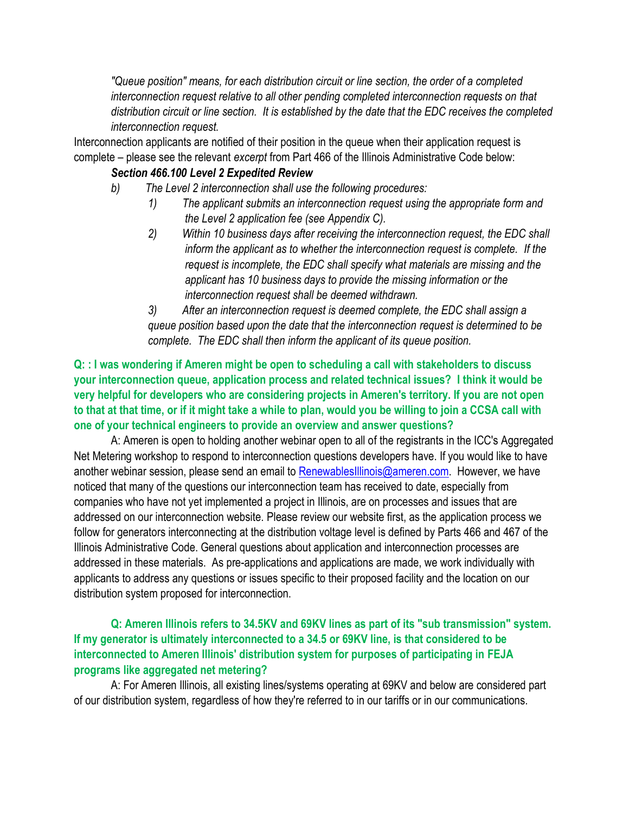*"Queue position" means, for each distribution circuit or line section, the order of a completed interconnection request relative to all other pending completed interconnection requests on that distribution circuit or line section. It is established by the date that the EDC receives the completed interconnection request.*

Interconnection applicants are notified of their position in the queue when their application request is complete – please see the relevant *excerpt* from Part 466 of the Illinois Administrative Code below:

### *Section 466.100 Level 2 Expedited Review*

- *b) The Level 2 interconnection shall use the following procedures:*
	- *1) The applicant submits an interconnection request using the appropriate form and the Level 2 application fee (see Appendix C).*
	- *2) Within 10 business days after receiving the interconnection request, the EDC shall inform the applicant as to whether the interconnection request is complete. If the request is incomplete, the EDC shall specify what materials are missing and the applicant has 10 business days to provide the missing information or the interconnection request shall be deemed withdrawn.*

*3) After an interconnection request is deemed complete, the EDC shall assign a queue position based upon the date that the interconnection request is determined to be complete. The EDC shall then inform the applicant of its queue position.*

# **Q: : I was wondering if Ameren might be open to scheduling a call with stakeholders to discuss your interconnection queue, application process and related technical issues? I think it would be very helpful for developers who are considering projects in Ameren's territory. If you are not open to that at that time, or if it might take a while to plan, would you be willing to join a CCSA call with one of your technical engineers to provide an overview and answer questions?**

A: Ameren is open to holding another webinar open to all of the registrants in the ICC's Aggregated Net Metering workshop to respond to interconnection questions developers have. If you would like to have another webinar session, please send an email to [RenewablesIllinois@ameren.com.](mailto:RenewablesIllinois@ameren.com) However, we have noticed that many of the questions our interconnection team has received to date, especially from companies who have not yet implemented a project in Illinois, are on processes and issues that are addressed on our interconnection website. Please review our website first, as the application process we follow for generators interconnecting at the distribution voltage level is defined by Parts 466 and 467 of the Illinois Administrative Code. General questions about application and interconnection processes are addressed in these materials. As pre-applications and applications are made, we work individually with applicants to address any questions or issues specific to their proposed facility and the location on our distribution system proposed for interconnection.

# **Q: Ameren Illinois refers to 34.5KV and 69KV lines as part of its "sub transmission" system. If my generator is ultimately interconnected to a 34.5 or 69KV line, is that considered to be interconnected to Ameren Illinois' distribution system for purposes of participating in FEJA programs like aggregated net metering?**

A: For Ameren Illinois, all existing lines/systems operating at 69KV and below are considered part of our distribution system, regardless of how they're referred to in our tariffs or in our communications.